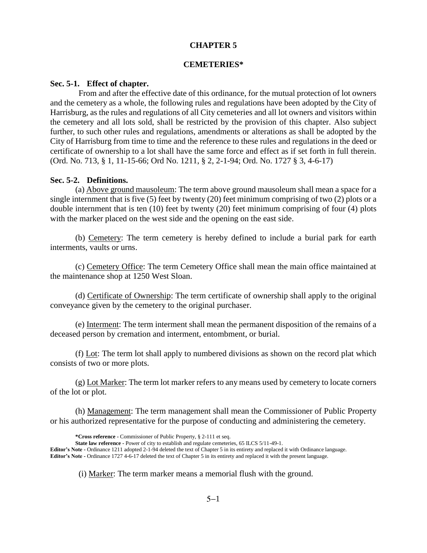### **CHAPTER 5**

### **CEMETERIES\***

#### **Sec. 5-1. Effect of chapter.**

 From and after the effective date of this ordinance, for the mutual protection of lot owners and the cemetery as a whole, the following rules and regulations have been adopted by the City of Harrisburg, as the rules and regulations of all City cemeteries and all lot owners and visitors within the cemetery and all lots sold, shall be restricted by the provision of this chapter. Also subject further, to such other rules and regulations, amendments or alterations as shall be adopted by the City of Harrisburg from time to time and the reference to these rules and regulations in the deed or certificate of ownership to a lot shall have the same force and effect as if set forth in full therein. (Ord. No. 713, § 1, 11-15-66; Ord No. 1211, § 2, 2-1-94; Ord. No. 1727 § 3, 4-6-17)

#### **Sec. 5-2. Definitions.**

(a) Above ground mausoleum: The term above ground mausoleum shall mean a space for a single internment that is five (5) feet by twenty (20) feet minimum comprising of two (2) plots or a double internment that is ten (10) feet by twenty (20) feet minimum comprising of four (4) plots with the marker placed on the west side and the opening on the east side.

(b) Cemetery: The term cemetery is hereby defined to include a burial park for earth interments, vaults or urns.

(c) Cemetery Office: The term Cemetery Office shall mean the main office maintained at the maintenance shop at 1250 West Sloan.

(d) Certificate of Ownership: The term certificate of ownership shall apply to the original conveyance given by the cemetery to the original purchaser.

(e) Interment: The term interment shall mean the permanent disposition of the remains of a deceased person by cremation and interment, entombment, or burial.

(f) Lot: The term lot shall apply to numbered divisions as shown on the record plat which consists of two or more plots.

(g) Lot Marker: The term lot marker refers to any means used by cemetery to locate corners of the lot or plot.

(h) Management: The term management shall mean the Commissioner of Public Property or his authorized representative for the purpose of conducting and administering the cemetery.

(i) Marker: The term marker means a memorial flush with the ground.

**<sup>\*</sup>Cross reference -** Commissioner of Public Property, § 2-111 et seq.

**State law reference -** Power of city to establish and regulate cemeteries, 65 ILCS 5/11-49-1.

**Editor's Note -** Ordinance 1211 adopted 2-1-94 deleted the text of Chapter 5 in its entirety and replaced it with Ordinance language. **Editor's Note -** Ordinance 1727 4-6-17 deleted the text of Chapter 5 in its entirety and replaced it with the present language.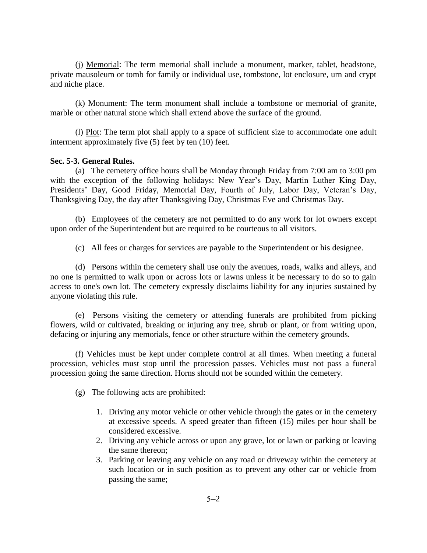(j) Memorial: The term memorial shall include a monument, marker, tablet, headstone, private mausoleum or tomb for family or individual use, tombstone, lot enclosure, urn and crypt and niche place.

(k) Monument: The term monument shall include a tombstone or memorial of granite, marble or other natural stone which shall extend above the surface of the ground.

(l) Plot: The term plot shall apply to a space of sufficient size to accommodate one adult interment approximately five (5) feet by ten (10) feet.

## **Sec. 5-3. General Rules.**

(a) The cemetery office hours shall be Monday through Friday from 7:00 am to 3:00 pm with the exception of the following holidays: New Year's Day, Martin Luther King Day, Presidents' Day, Good Friday, Memorial Day, Fourth of July, Labor Day, Veteran's Day, Thanksgiving Day, the day after Thanksgiving Day, Christmas Eve and Christmas Day.

(b) Employees of the cemetery are not permitted to do any work for lot owners except upon order of the Superintendent but are required to be courteous to all visitors.

(c) All fees or charges for services are payable to the Superintendent or his designee.

(d) Persons within the cemetery shall use only the avenues, roads, walks and alleys, and no one is permitted to walk upon or across lots or lawns unless it be necessary to do so to gain access to one's own lot. The cemetery expressly disclaims liability for any injuries sustained by anyone violating this rule.

(e) Persons visiting the cemetery or attending funerals are prohibited from picking flowers, wild or cultivated, breaking or injuring any tree, shrub or plant, or from writing upon, defacing or injuring any memorials, fence or other structure within the cemetery grounds.

(f) Vehicles must be kept under complete control at all times. When meeting a funeral procession, vehicles must stop until the procession passes. Vehicles must not pass a funeral procession going the same direction. Horns should not be sounded within the cemetery.

(g) The following acts are prohibited:

- 1. Driving any motor vehicle or other vehicle through the gates or in the cemetery at excessive speeds. A speed greater than fifteen (15) miles per hour shall be considered excessive.
- 2. Driving any vehicle across or upon any grave, lot or lawn or parking or leaving the same thereon;
- 3. Parking or leaving any vehicle on any road or driveway within the cemetery at such location or in such position as to prevent any other car or vehicle from passing the same;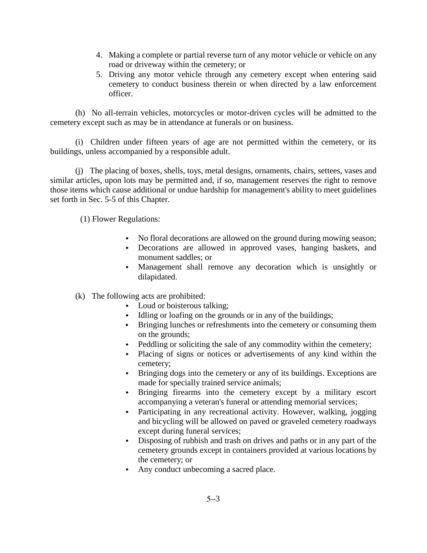- 4. Making a complete or partial reverse turn of any motor vehicle or vehicle on any road or driveway within the cemetery; or
- 5. Driving any motor vehicle through any cemetery except when entering said cemetery to conduct business therein or when directed by a law enforcement officer.

(h) No all-terrain vehicles, motorcycles or motor-driven cycles will be admitted to the cemetery except such as may be in attendance at funerals or on business.

(i) Children under fifteen years of age are not permitted within the cemetery, or its buildings, unless accompanied by a responsible adult.

(j) The placing of boxes, shells, toys, metal designs, ornaments, chairs, settees, vases and similar articles, upon lots may be permitted and, if so, management reserves the right to remove those items which cause additional or undue hardship for management's ability to meet guidelines set forth in Sec. 5-5 of this Chapter.

(1) Flower Regulations:

- No floral decorations are allowed on the ground during mowing season;
- Decorations are allowed in approved vases, hanging baskets, and monument saddles; or
- Management shall remove any decoration which is unsightly or dilapidated.

(k) The following acts are prohibited:

- Loud or boisterous talking;
- Idling or loafing on the grounds or in any of the buildings;
- Bringing lunches or refreshments into the cemetery or consuming them on the grounds;
- Peddling or soliciting the sale of any commodity within the cemetery;
- Placing of signs or notices or advertisements of any kind within the cemetery;
- Bringing dogs into the cemetery or any of its buildings. Exceptions are made for specially trained service animals;
- Bringing firearms into the cemetery except by a military escort accompanying a veteran's funeral or attending memorial services;
- Participating in any recreational activity. However, walking, jogging and bicycling will be allowed on paved or graveled cemetery roadways except during funeral services;
- Disposing of rubbish and trash on drives and paths or in any part of the cemetery grounds except in containers provided at various locations by the cemetery; or
- Any conduct unbecoming a sacred place.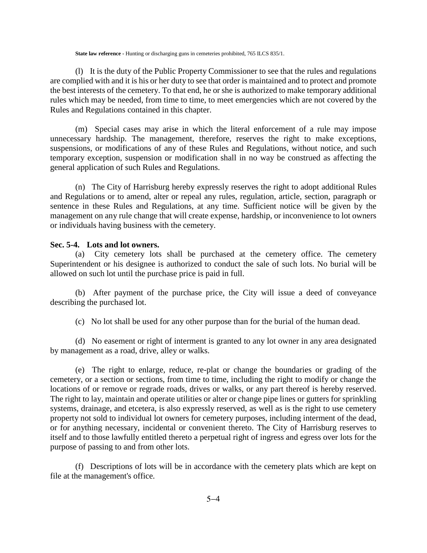#### **State law reference -** Hunting or discharging guns in cemeteries prohibited, 765 ILCS 835/1.

(l) It is the duty of the Public Property Commissioner to see that the rules and regulations are complied with and it is his or her duty to see that order is maintained and to protect and promote the best interests of the cemetery. To that end, he or she is authorized to make temporary additional rules which may be needed, from time to time, to meet emergencies which are not covered by the Rules and Regulations contained in this chapter.

(m) Special cases may arise in which the literal enforcement of a rule may impose unnecessary hardship. The management, therefore, reserves the right to make exceptions, suspensions, or modifications of any of these Rules and Regulations, without notice, and such temporary exception, suspension or modification shall in no way be construed as affecting the general application of such Rules and Regulations.

(n) The City of Harrisburg hereby expressly reserves the right to adopt additional Rules and Regulations or to amend, alter or repeal any rules, regulation, article, section, paragraph or sentence in these Rules and Regulations, at any time. Sufficient notice will be given by the management on any rule change that will create expense, hardship, or inconvenience to lot owners or individuals having business with the cemetery.

### **Sec. 5-4. Lots and lot owners.**

(a) City cemetery lots shall be purchased at the cemetery office. The cemetery Superintendent or his designee is authorized to conduct the sale of such lots. No burial will be allowed on such lot until the purchase price is paid in full.

(b) After payment of the purchase price, the City will issue a deed of conveyance describing the purchased lot.

(c) No lot shall be used for any other purpose than for the burial of the human dead.

(d) No easement or right of interment is granted to any lot owner in any area designated by management as a road, drive, alley or walks.

(e) The right to enlarge, reduce, re-plat or change the boundaries or grading of the cemetery, or a section or sections, from time to time, including the right to modify or change the locations of or remove or regrade roads, drives or walks, or any part thereof is hereby reserved. The right to lay, maintain and operate utilities or alter or change pipe lines or gutters for sprinkling systems, drainage, and etcetera, is also expressly reserved, as well as is the right to use cemetery property not sold to individual lot owners for cemetery purposes, including interment of the dead, or for anything necessary, incidental or convenient thereto. The City of Harrisburg reserves to itself and to those lawfully entitled thereto a perpetual right of ingress and egress over lots for the purpose of passing to and from other lots.

(f) Descriptions of lots will be in accordance with the cemetery plats which are kept on file at the management's office.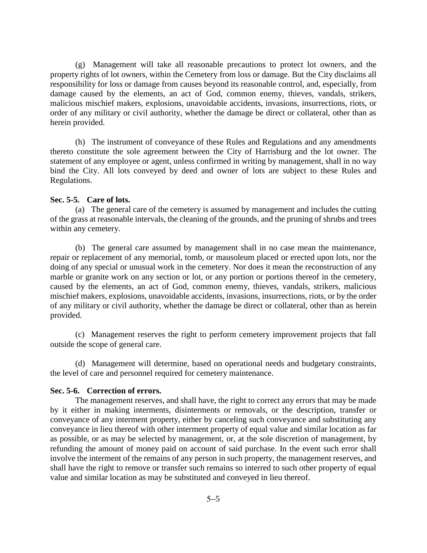(g) Management will take all reasonable precautions to protect lot owners, and the property rights of lot owners, within the Cemetery from loss or damage. But the City disclaims all responsibility for loss or damage from causes beyond its reasonable control, and, especially, from damage caused by the elements, an act of God, common enemy, thieves, vandals, strikers, malicious mischief makers, explosions, unavoidable accidents, invasions, insurrections, riots, or order of any military or civil authority, whether the damage be direct or collateral, other than as herein provided.

(h) The instrument of conveyance of these Rules and Regulations and any amendments thereto constitute the sole agreement between the City of Harrisburg and the lot owner. The statement of any employee or agent, unless confirmed in writing by management, shall in no way bind the City. All lots conveyed by deed and owner of lots are subject to these Rules and Regulations.

# **Sec. 5-5. Care of lots.**

(a) The general care of the cemetery is assumed by management and includes the cutting of the grass at reasonable intervals, the cleaning of the grounds, and the pruning of shrubs and trees within any cemetery.

(b) The general care assumed by management shall in no case mean the maintenance, repair or replacement of any memorial, tomb, or mausoleum placed or erected upon lots, nor the doing of any special or unusual work in the cemetery. Nor does it mean the reconstruction of any marble or granite work on any section or lot, or any portion or portions thereof in the cemetery, caused by the elements, an act of God, common enemy, thieves, vandals, strikers, malicious mischief makers, explosions, unavoidable accidents, invasions, insurrections, riots, or by the order of any military or civil authority, whether the damage be direct or collateral, other than as herein provided.

(c) Management reserves the right to perform cemetery improvement projects that fall outside the scope of general care.

(d) Management will determine, based on operational needs and budgetary constraints, the level of care and personnel required for cemetery maintenance.

#### **Sec. 5-6. Correction of errors.**

The management reserves, and shall have, the right to correct any errors that may be made by it either in making interments, disinterments or removals, or the description, transfer or conveyance of any interment property, either by canceling such conveyance and substituting any conveyance in lieu thereof with other interment property of equal value and similar location as far as possible, or as may be selected by management, or, at the sole discretion of management, by refunding the amount of money paid on account of said purchase. In the event such error shall involve the interment of the remains of any person in such property, the management reserves, and shall have the right to remove or transfer such remains so interred to such other property of equal value and similar location as may be substituted and conveyed in lieu thereof.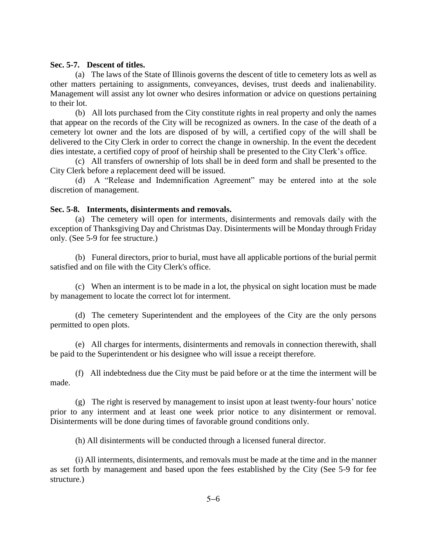## **Sec. 5-7. Descent of titles.**

(a) The laws of the State of Illinois governs the descent of title to cemetery lots as well as other matters pertaining to assignments, conveyances, devises, trust deeds and inalienability. Management will assist any lot owner who desires information or advice on questions pertaining to their lot.

(b) All lots purchased from the City constitute rights in real property and only the names that appear on the records of the City will be recognized as owners. In the case of the death of a cemetery lot owner and the lots are disposed of by will, a certified copy of the will shall be delivered to the City Clerk in order to correct the change in ownership. In the event the decedent dies intestate, a certified copy of proof of heirship shall be presented to the City Clerk's office.

(c) All transfers of ownership of lots shall be in deed form and shall be presented to the City Clerk before a replacement deed will be issued.

(d) A "Release and Indemnification Agreement" may be entered into at the sole discretion of management.

# **Sec. 5-8. Interments, disinterments and removals.**

(a) The cemetery will open for interments, disinterments and removals daily with the exception of Thanksgiving Day and Christmas Day. Disinterments will be Monday through Friday only. (See 5-9 for fee structure.)

(b) Funeral directors, prior to burial, must have all applicable portions of the burial permit satisfied and on file with the City Clerk's office.

(c) When an interment is to be made in a lot, the physical on sight location must be made by management to locate the correct lot for interment.

(d) The cemetery Superintendent and the employees of the City are the only persons permitted to open plots.

(e) All charges for interments, disinterments and removals in connection therewith, shall be paid to the Superintendent or his designee who will issue a receipt therefore.

(f) All indebtedness due the City must be paid before or at the time the interment will be made.

(g) The right is reserved by management to insist upon at least twenty-four hours' notice prior to any interment and at least one week prior notice to any disinterment or removal. Disinterments will be done during times of favorable ground conditions only.

(h) All disinterments will be conducted through a licensed funeral director.

(i) All interments, disinterments, and removals must be made at the time and in the manner as set forth by management and based upon the fees established by the City (See 5-9 for fee structure.)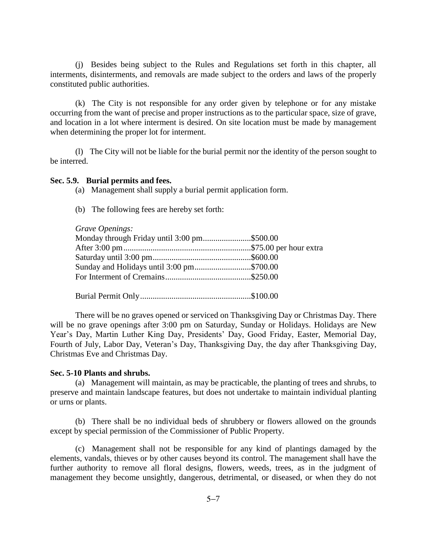(j) Besides being subject to the Rules and Regulations set forth in this chapter, all interments, disinterments, and removals are made subject to the orders and laws of the properly constituted public authorities.

(k) The City is not responsible for any order given by telephone or for any mistake occurring from the want of precise and proper instructions as to the particular space, size of grave, and location in a lot where interment is desired. On site location must be made by management when determining the proper lot for interment.

(l) The City will not be liable for the burial permit nor the identity of the person sought to be interred.

# **Sec. 5.9. Burial permits and fees.**

- (a) Management shall supply a burial permit application form.
- (b) The following fees are hereby set forth:

# *Grave Openings:*

| <i><u>UTAVE Openings.</u></i>               |  |
|---------------------------------------------|--|
| Monday through Friday until 3:00 pm\$500.00 |  |
|                                             |  |
|                                             |  |
| Sunday and Holidays until 3:00 pm\$700.00   |  |
|                                             |  |
|                                             |  |
|                                             |  |

Burial Permit Only.....................................................\$100.00

There will be no graves opened or serviced on Thanksgiving Day or Christmas Day. There will be no grave openings after 3:00 pm on Saturday, Sunday or Holidays. Holidays are New Year's Day, Martin Luther King Day, Presidents' Day, Good Friday, Easter, Memorial Day, Fourth of July, Labor Day, Veteran's Day, Thanksgiving Day, the day after Thanksgiving Day, Christmas Eve and Christmas Day.

## **Sec. 5-10 Plants and shrubs.**

(a) Management will maintain, as may be practicable, the planting of trees and shrubs, to preserve and maintain landscape features, but does not undertake to maintain individual planting or urns or plants.

(b) There shall be no individual beds of shrubbery or flowers allowed on the grounds except by special permission of the Commissioner of Public Property.

(c) Management shall not be responsible for any kind of plantings damaged by the elements, vandals, thieves or by other causes beyond its control. The management shall have the further authority to remove all floral designs, flowers, weeds, trees, as in the judgment of management they become unsightly, dangerous, detrimental, or diseased, or when they do not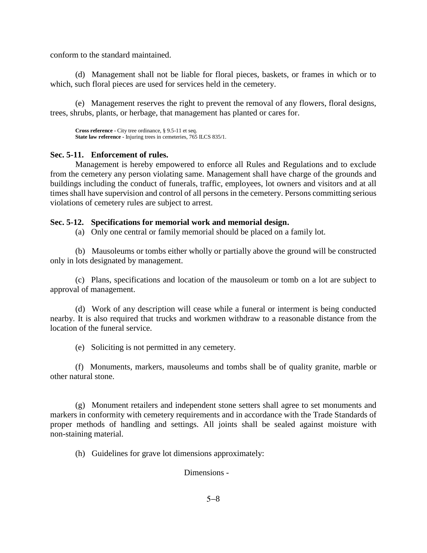conform to the standard maintained.

(d) Management shall not be liable for floral pieces, baskets, or frames in which or to which, such floral pieces are used for services held in the cemetery.

(e) Management reserves the right to prevent the removal of any flowers, floral designs, trees, shrubs, plants, or herbage, that management has planted or cares for.

**Cross reference -** City tree ordinance, § 9.5-11 et seq. **State law reference -** Injuring trees in cemeteries, 765 ILCS 835/1.

# **Sec. 5-11. Enforcement of rules.**

Management is hereby empowered to enforce all Rules and Regulations and to exclude from the cemetery any person violating same. Management shall have charge of the grounds and buildings including the conduct of funerals, traffic, employees, lot owners and visitors and at all times shall have supervision and control of all persons in the cemetery. Persons committing serious violations of cemetery rules are subject to arrest.

# **Sec. 5-12. Specifications for memorial work and memorial design.**

(a) Only one central or family memorial should be placed on a family lot.

(b) Mausoleums or tombs either wholly or partially above the ground will be constructed only in lots designated by management.

(c) Plans, specifications and location of the mausoleum or tomb on a lot are subject to approval of management.

(d) Work of any description will cease while a funeral or interment is being conducted nearby. It is also required that trucks and workmen withdraw to a reasonable distance from the location of the funeral service.

(e) Soliciting is not permitted in any cemetery.

(f) Monuments, markers, mausoleums and tombs shall be of quality granite, marble or other natural stone.

(g) Monument retailers and independent stone setters shall agree to set monuments and markers in conformity with cemetery requirements and in accordance with the Trade Standards of proper methods of handling and settings. All joints shall be sealed against moisture with non-staining material.

(h) Guidelines for grave lot dimensions approximately:

Dimensions -